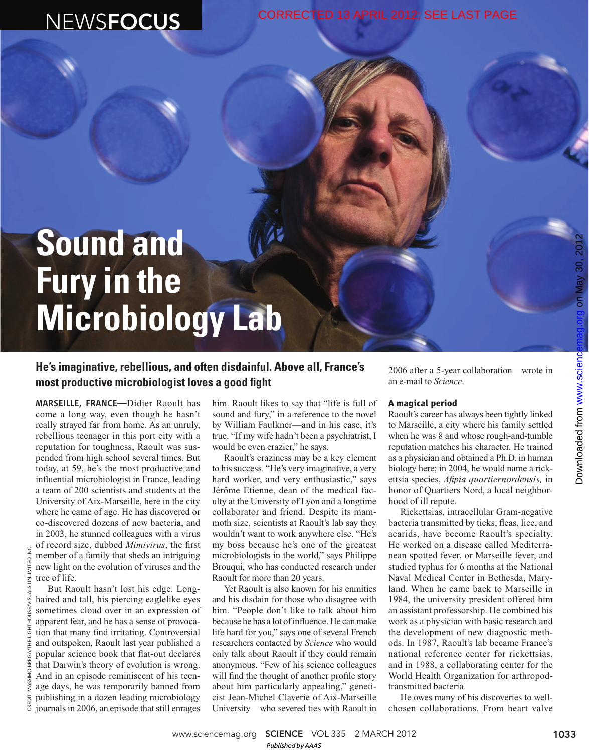## **NEWSFOCUS**

# **Sound and Fury in the Microbiology Lab**

#### **He's imaginative, rebellious, and often disdainful. Above all, France's**  most productive microbiologist loves a good fight

MARSEILLE, FRANCE—Didier Raoult has come a long way, even though he hasn't really strayed far from home. As an unruly, rebellious teenager in this port city with a reputation for toughness, Raoult was suspended from high school several times. But today, at 59, he's the most productive and influential microbiologist in France, leading a team of 200 scientists and students at the University of Aix-Marseille, here in the city where he came of age. He has discovered or co-discovered dozens of new bacteria, and in 2003, he stunned colleagues with a virus of record size, dubbed *Mimivirus*, the first member of a family that sheds an intriguing new light on the evolution of viruses and the tree of life.

But Raoult hasn't lost his edge. Longhaired and tall, his piercing eaglelike eyes sometimes cloud over in an expression of apparent fear, and he has a sense of provocation that many find irritating. Controversial and outspoken, Raoult last year published a popular science book that flat-out declares that Darwin's theory of evolution is wrong. And in an episode reminiscent of his teenage days, he was temporarily banned from publishing in a dozen leading microbiology journals in 2006, an episode that still enrages

him. Raoult likes to say that "life is full of sound and fury," in a reference to the novel by William Faulkner—and in his case, it's true. "If my wife hadn't been a psychiatrist, I would be even crazier," he says.

Raoult's craziness may be a key element to his success. "He's very imaginative, a very hard worker, and very enthusiastic," says Jérôme Etienne, dean of the medical faculty at the University of Lyon and a longtime collaborator and friend. Despite its mammoth size, scientists at Raoult's lab say they wouldn't want to work anywhere else. "He's my boss because he's one of the greatest microbiologists in the world," says Philippe Brouqui, who has conducted research under Raoult for more than 20 years.

Yet Raoult is also known for his enmities and his disdain for those who disagree with him. "People don't like to talk about him because he has a lot of influence. He can make life hard for you," says one of several French researchers contacted by *Science* who would only talk about Raoult if they could remain anonymous. "Few of his science colleagues will find the thought of another profile story about him particularly appealing," geneticist Jean-Michel Claverie of Aix-Marseille University—who severed ties with Raoult in 2006 after a 5-year collaboration—wrote in an e-mail to *Science*.

#### **A magical period**

Raoult's career has always been tightly linked to Marseille, a city where his family settled when he was 8 and whose rough-and-tumble reputation matches his character. He trained as a physician and obtained a Ph.D. in human biology here; in 2004, he would name a rickettsia species, *Afipia quartiernordensis*, in honor of Quartiers Nord, a local neighborhood of ill repute.

Rickettsias, intracellular Gram-negative bacteria transmitted by ticks, fleas, lice, and acarids, have become Raoult's specialty. He worked on a disease called Mediterranean spotted fever, or Marseille fever, and studied typhus for 6 months at the National Naval Medical Center in Bethesda, Maryland. When he came back to Marseille in 1984, the university president offered him an assistant professorship. He combined his work as a physician with basic research and the development of new diagnostic methods. In 1987, Raoult's lab became France's national reference center for rickettsias, and in 1988, a collaborating center for the World Health Organization for arthropodtransmitted bacteria.

He owes many of his discoveries to wellchosen collaborations. From heart valve

www.sciencemag.org **SCIENCE** VOL 335 2 MARCH 2012 1033 *Published by AAAS*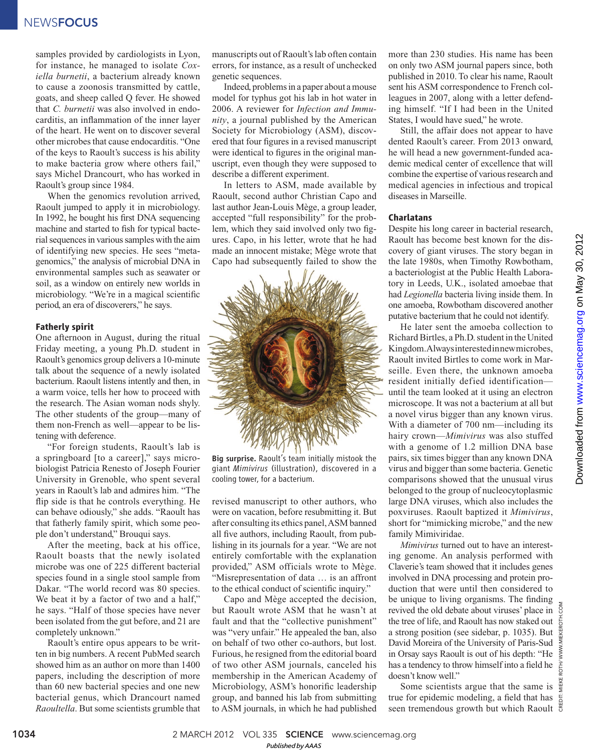samples provided by cardiologists in Lyon, for instance, he managed to isolate *Coxiella burnetii*, a bacterium already known to cause a zoonosis transmitted by cattle, goats, and sheep called Q fever. He showed that *C. burnetii* was also involved in endocarditis, an inflammation of the inner layer of the heart. He went on to discover several other microbes that cause endocarditis. "One of the keys to Raoult's success is his ability to make bacteria grow where others fail," says Michel Drancourt, who has worked in Raoult's group since 1984.

When the genomics revolution arrived, Raoult jumped to apply it in microbiology. In 1992, he bought his first DNA sequencing machine and started to fish for typical bacterial sequences in various samples with the aim of identifying new species. He sees "metagenomics," the analysis of microbial DNA in environmental samples such as seawater or soil, as a window on entirely new worlds in microbiology. "We're in a magical scientific period, an era of discoverers," he says.

#### **Fatherly spirit**

One afternoon in August, during the ritual Friday meeting, a young Ph.D. student in Raoult's genomics group delivers a 10-minute talk about the sequence of a newly isolated bacterium. Raoult listens intently and then, in a warm voice, tells her how to proceed with the research. The Asian woman nods shyly. The other students of the group—many of them non-French as well—appear to be listening with deference.

"For foreign students, Raoult's lab is a springboard [to a career]," says microbiologist Patricia Renesto of Joseph Fourier University in Grenoble, who spent several years in Raoult's lab and admires him. "The flip side is that he controls everything. He can behave odiously," she adds. "Raoult has that fatherly family spirit, which some people don't understand," Brouqui says.

After the meeting, back at his office, Raoult boasts that the newly isolated microbe was one of 225 different bacterial species found in a single stool sample from Dakar. "The world record was 80 species. We beat it by a factor of two and a half," he says. "Half of those species have never been isolated from the gut before, and 21 are completely unknown."

Raoult's entire opus appears to be written in big numbers. A recent PubMed search showed him as an author on more than 1400 papers, including the description of more than 60 new bacterial species and one new bacterial genus, which Drancourt named *Raoultella*. But some scientists grumble that

manuscripts out of Raoult's lab often contain errors, for instance, as a result of unchecked genetic sequences.

Indeed, problems in a paper about a mouse model for typhus got his lab in hot water in 2006. A reviewer for *Infection and Immunity*, a journal published by the American Society for Microbiology (ASM), discovered that four figures in a revised manuscript were identical to figures in the original manuscript, even though they were supposed to describe a different experiment.

In letters to ASM, made available by Raoult, second author Christian Capo and last author Jean-Louis Mège, a group leader, accepted "full responsibility" for the problem, which they said involved only two figures. Capo, in his letter, wrote that he had made an innocent mistake; Mège wrote that Capo had subsequently failed to show the



Big surprise. Raoult's team initially mistook the giant *Mimivirus* (illustration), discovered in a cooling tower, for a bacterium.

revised manuscript to other authors, who were on vacation, before resubmitting it. But after consulting its ethics panel, ASM banned all five authors, including Raoult, from publishing in its journals for a year. "We are not entirely comfortable with the explanation provided," ASM officials wrote to Mège. "Misrepresentation of data … is an affront to the ethical conduct of scientific inquiry."

Capo and Mège accepted the decision, but Raoult wrote ASM that he wasn't at fault and that the "collective punishment" was "very unfair." He appealed the ban, also on behalf of two other co-authors, but lost. Furious, he resigned from the editorial board of two other ASM journals, canceled his membership in the American Academy of Microbiology, ASM's honorific leadership group, and banned his lab from submitting to ASM journals, in which he had published

more than 230 studies. His name has been on only two ASM journal papers since, both published in 2010. To clear his name, Raoult sent his ASM correspondence to French colleagues in 2007, along with a letter defending himself. "If I had been in the United States, I would have sued," he wrote.

Still, the affair does not appear to have dented Raoult's career. From 2013 onward, he will head a new government-funded academic medical center of excellence that will combine the expertise of various research and medical agencies in infectious and tropical diseases in Marseille.

#### **Charlatans**

Despite his long career in bacterial research, Raoult has become best known for the discovery of giant viruses. The story began in the late 1980s, when Timothy Rowbotham, a bacteriologist at the Public Health Laboratory in Leeds, U.K., isolated amoebae that had *Legionella* bacteria living inside them. In one amoeba, Rowbotham discovered another putative bacterium that he could not identify.

He later sent the amoeba collection to Richard Birtles, a Ph.D. student in the United Kingdom. Always interested in new microbes, Raoult invited Birtles to come work in Marseille. Even there, the unknown amoeba resident initially defied identification until the team looked at it using an electron microscope. It was not a bacterium at all but a novel virus bigger than any known virus. With a diameter of 700 nm—including its hairy crown—*Mimivirus* was also stuffed with a genome of 1.2 million DNA base pairs, six times bigger than any known DNA virus and bigger than some bacteria. Genetic comparisons showed that the unusual virus belonged to the group of nucleocytoplasmic large DNA viruses, which also includes the poxviruses. Raoult baptized it *Mimivirus*, short for "mimicking microbe," and the new family Mimiviridae.

*Mimivirus* turned out to have an interesting genome. An analysis performed with Claverie's team showed that it includes genes involved in DNA processing and protein production that were until then considered to be unique to living organisms. The finding revived the old debate about viruses' place in the tree of life, and Raoult has now staked out a strong position (see sidebar, p. 1035). But David Moreira of the University of Paris-Sud in Orsay says Raoult is out of his depth: "He has a tendency to throw himself into a field he doesn't know well."

Some scientists argue that the same is  $\frac{8}{5}$ true for epidemic modeling, a field that has ă seen tremendous growth but which Raoult

CREDIT: MIEKE ROTH/ WWW.MIEKEROTH.COM

1034 2 MARCH 2012 VOL 335 SCIENCE www.sciencemag.org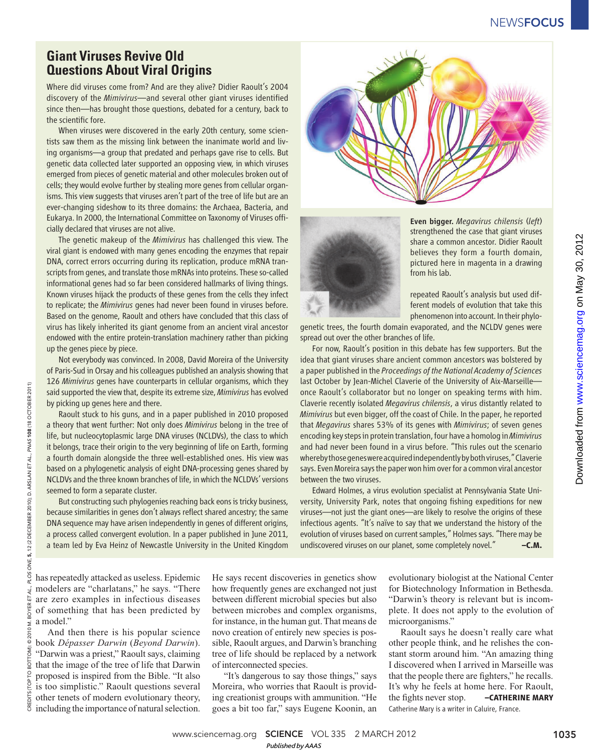### **Giant Viruses Revive Old Questions About Viral Origins**

Where did viruses come from? And are they alive? Didier Raoult's 2004 discovery of the *Mimivirus*—and several other giant viruses identified since then—has brought those questions, debated for a century, back to the scientific fore.

When viruses were discovered in the early 20th century, some scientists saw them as the missing link between the inanimate world and living organisms—a group that predated and perhaps gave rise to cells. But genetic data collected later supported an opposing view, in which viruses emerged from pieces of genetic material and other molecules broken out of cells; they would evolve further by stealing more genes from cellular organisms. This view suggests that viruses aren't part of the tree of life but are an ever-changing sideshow to its three domains: the Archaea, Bacteria, and Eukarya. In 2000, the International Committee on Taxonomy of Viruses officially declared that viruses are not alive.

The genetic makeup of the *Mimivirus* has challenged this view. The viral giant is endowed with many genes encoding the enzymes that repair DNA, correct errors occurring during its replication, produce mRNA transcripts from genes, and translate those mRNAs into proteins. These so-called informational genes had so far been considered hallmarks of living things. Known viruses hijack the products of these genes from the cells they infect to replicate; the *Mimivirus* genes had never been found in viruses before. Based on the genome, Raoult and others have concluded that this class of virus has likely inherited its giant genome from an ancient viral ancestor endowed with the entire protein-translation machinery rather than picking up the genes piece by piece.

Not everybody was convinced. In 2008, David Moreira of the University of Paris-Sud in Orsay and his colleagues published an analysis showing that 126 *Mimivirus* genes have counterparts in cellular organisms, which they said supported the view that, despite its extreme size, *Mimivirus* has evolved by picking up genes here and there.

Raoult stuck to his guns, and in a paper published in 2010 proposed a theory that went further: Not only does *Mimivirus* belong in the tree of life, but nucleocytoplasmic large DNA viruses (NCLDVs), the class to which it belongs, trace their origin to the very beginning of life on Earth, forming a fourth domain alongside the three well-established ones. His view was based on a phylogenetic analysis of eight DNA-processing genes shared by NCLDVs and the three known branches of life, in which the NCLDVs' versions seemed to form a separate cluster.

But constructing such phylogenies reaching back eons is tricky business, because similarities in genes don't always reflect shared ancestry; the same DNA sequence may have arisen independently in genes of different origins, a process called convergent evolution. In a paper published in June 2011, a team led by Eva Heinz of Newcastle University in the United Kingdom





Even bigger. *Megavirus chilensis* (*left*) strengthened the case that giant viruses share a common ancestor. Didier Raoult believes they form a fourth domain, pictured here in magenta in a drawing from his lab.

repeated Raoult's analysis but used different models of evolution that take this phenomenon into account. In their phylo-

genetic trees, the fourth domain evaporated, and the NCLDV genes were spread out over the other branches of life.

For now, Raoult's position in this debate has few supporters. But the idea that giant viruses share ancient common ancestors was bolstered by a paper published in the *Proceedings of the National Academy of Sciences*  last October by Jean-Michel Claverie of the University of Aix-Marseille once Raoult's collaborator but no longer on speaking terms with him. Claverie recently isolated *Megavirus chilensis*, a virus distantly related to *Mimivirus* but even bigger, off the coast of Chile. In the paper, he reported that *Megavirus* shares 53% of its genes with *Mimivirus*; of seven genes encoding key steps in protein translation, four have a homolog in *Mimivirus*  and had never been found in a virus before. "This rules out the scenario whereby those genes were acquired independently by both viruses," Claverie says. Even Moreira says the paper won him over for a common viral ancestor between the two viruses.

Edward Holmes, a virus evolution specialist at Pennsylvania State University, University Park, notes that ongoing fishing expeditions for new viruses—not just the giant ones—are likely to resolve the origins of these infectious agents. "It's naïve to say that we understand the history of the evolution of viruses based on current samples," Holmes says. "There may be undiscovered viruses on our planet, some completely novel." **–C.M.**

has repeatedly attacked as useless. Epidemic modelers are "charlatans," he says. "There are zero examples in infectious diseases of something that has been predicted by a model."

CREDITS (TOP TO BOTTOM): © 2010 M. BOYER ET AL., PLOS ONE, 5, 12 (2 DECEMBER 2010); D. ARSLAN ET AL., PNAS 108 (18 OCTOBER 2011)

АL., BOYER ET

CREDITS (TOP TO BOTTOM): © 2010 M.

PLOS ONE, 5, 12 (2 DECEMBER 2010); D. ARSLAN ET AL., PNAS 108 (18 OCTOBER 2011)

And then there is his popular science book *Dépasser Darwin* (*Beyond Darwin*). "Darwin was a priest," Raoult says, claiming that the image of the tree of life that Darwin proposed is inspired from the Bible. "It also is too simplistic." Raoult questions several other tenets of modern evolutionary theory, including the importance of natural selection.

He says recent discoveries in genetics show how frequently genes are exchanged not just between different microbial species but also between microbes and complex organisms, for instance, in the human gut. That means de novo creation of entirely new species is possible, Raoult argues, and Darwin's branching tree of life should be replaced by a network of interconnected species.

"It's dangerous to say those things," says Moreira, who worries that Raoult is providing creationist groups with ammunition. "He goes a bit too far," says Eugene Koonin, an

evolutionary biologist at the National Center for Biotechnology Information in Bethesda. "Darwin's theory is relevant but is incomplete. It does not apply to the evolution of microorganisms."

Raoult says he doesn't really care what other people think, and he relishes the constant storm around him. "An amazing thing I discovered when I arrived in Marseille was that the people there are fighters," he recalls. It's why he feels at home here. For Raoult, the fights never stop. **–CATHERINE MARY** Catherine Mary is a writer in Caluire, France.